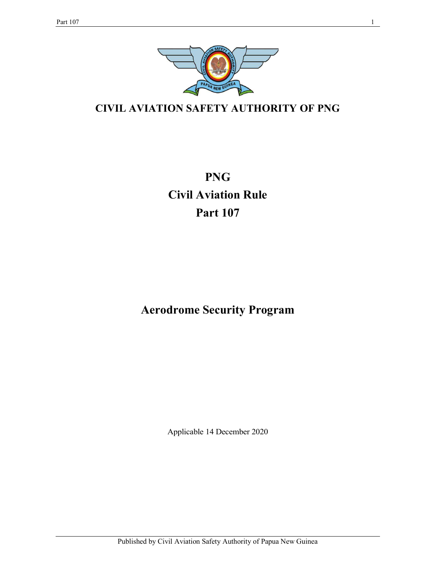

CIVIL AVIATION SAFETY AUTHORITY OF PNG

PNG Civil Aviation Rule Part 107

Aerodrome Security Program

Applicable 14 December 2020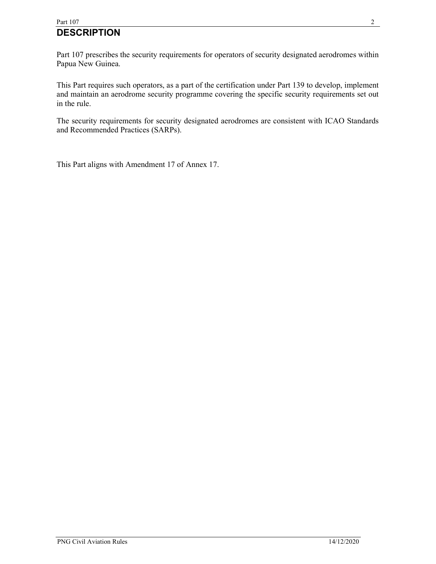# Part  $107$  2 **DESCRIPTION**

Part 107 prescribes the security requirements for operators of security designated aerodromes within Papua New Guinea.

This Part requires such operators, as a part of the certification under Part 139 to develop, implement and maintain an aerodrome security programme covering the specific security requirements set out in the rule.

The security requirements for security designated aerodromes are consistent with ICAO Standards and Recommended Practices (SARPs).

This Part aligns with Amendment 17 of Annex 17.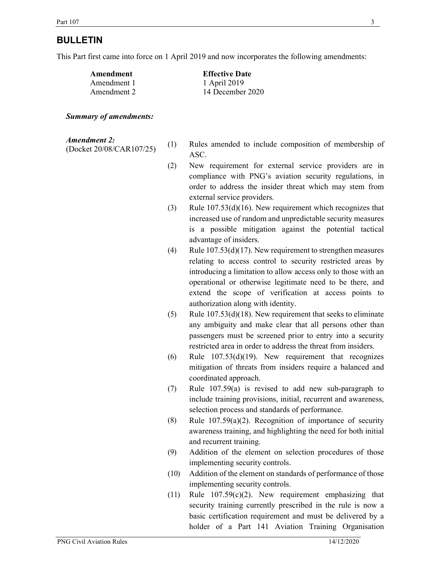# BULLETIN

This Part first came into force on 1 April 2019 and now incorporates the following amendments:

| Amendment   | <b>Effective Date</b> |
|-------------|-----------------------|
| Amendment 1 | 1 April 2019          |
| Amendment 2 | 14 December 2020      |

#### Summary of amendments:

### Amendment 2:

- Amendment 2. (1) Rules amended to include composition of membership of (Docket 20/08/CAR107/25) ASC.
	- (2) New requirement for external service providers are in compliance with PNG's aviation security regulations, in order to address the insider threat which may stem from external service providers.
	- (3) Rule 107.53(d)(16). New requirement which recognizes that increased use of random and unpredictable security measures is a possible mitigation against the potential tactical advantage of insiders.
	- (4) Rule 107.53(d)(17). New requirement to strengthen measures relating to access control to security restricted areas by introducing a limitation to allow access only to those with an operational or otherwise legitimate need to be there, and extend the scope of verification at access points to authorization along with identity.
	- (5) Rule  $107.53(d)(18)$ . New requirement that seeks to eliminate any ambiguity and make clear that all persons other than passengers must be screened prior to entry into a security restricted area in order to address the threat from insiders.
	- (6) Rule  $107.53(d)(19)$ . New requirement that recognizes mitigation of threats from insiders require a balanced and coordinated approach.
	- (7) Rule 107.59(a) is revised to add new sub-paragraph to include training provisions, initial, recurrent and awareness, selection process and standards of performance.
	- (8) Rule 107.59(a)(2). Recognition of importance of security awareness training, and highlighting the need for both initial and recurrent training.
	- (9) Addition of the element on selection procedures of those implementing security controls.
	- (10) Addition of the element on standards of performance of those implementing security controls.
	- (11) Rule 107.59(c)(2). New requirement emphasizing that security training currently prescribed in the rule is now a basic certification requirement and must be delivered by a holder of a Part 141 Aviation Training Organisation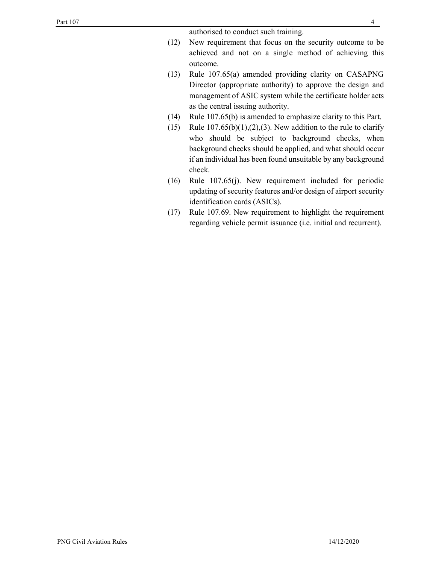authorised to conduct such training.

- (12) New requirement that focus on the security outcome to be achieved and not on a single method of achieving this outcome.
- (13) Rule 107.65(a) amended providing clarity on CASAPNG Director (appropriate authority) to approve the design and management of ASIC system while the certificate holder acts as the central issuing authority.
- (14) Rule 107.65(b) is amended to emphasize clarity to this Part.
- (15) Rule  $107.65(b)(1),(2),(3)$ . New addition to the rule to clarify who should be subject to background checks, when background checks should be applied, and what should occur if an individual has been found unsuitable by any background check.
- (16) Rule 107.65(j). New requirement included for periodic updating of security features and/or design of airport security identification cards (ASICs).
- (17) Rule 107.69. New requirement to highlight the requirement regarding vehicle permit issuance (i.e. initial and recurrent).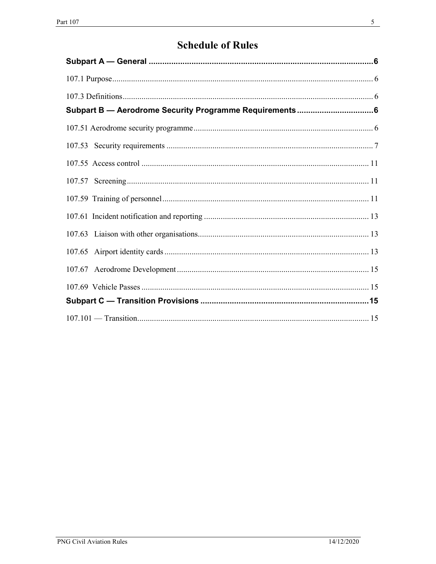# **Schedule of Rules**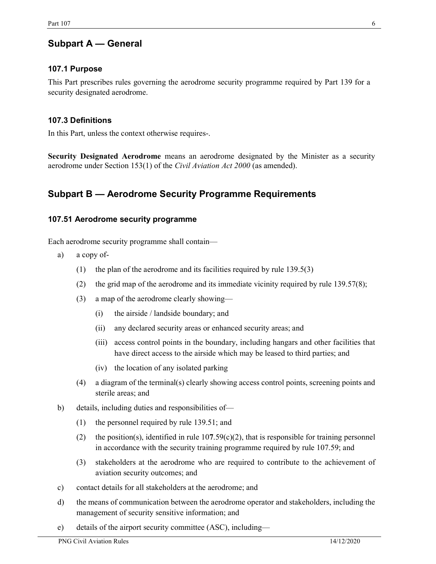# Subpart A — General

# 107.1 Purpose

This Part prescribes rules governing the aerodrome security programme required by Part 139 for a security designated aerodrome.

## 107.3 Definitions

In this Part, unless the context otherwise requires-.

Security Designated Aerodrome means an aerodrome designated by the Minister as a security aerodrome under Section 153(1) of the *Civil Aviation Act 2000* (as amended).

# Subpart B — Aerodrome Security Programme Requirements

## 107.51 Aerodrome security programme

Each aerodrome security programme shall contain—

- a) a copy of-
	- (1) the plan of the aerodrome and its facilities required by rule 139.5(3)
	- (2) the grid map of the aerodrome and its immediate vicinity required by rule  $139.57(8)$ ;
	- (3) a map of the aerodrome clearly showing—
		- (i) the airside / landside boundary; and
		- (ii) any declared security areas or enhanced security areas; and
		- (iii) access control points in the boundary, including hangars and other facilities that have direct access to the airside which may be leased to third parties; and
		- (iv) the location of any isolated parking
	- (4) a diagram of the terminal(s) clearly showing access control points, screening points and sterile areas; and
- b) details, including duties and responsibilities of—
	- (1) the personnel required by rule 139.51; and
	- (2) the position(s), identified in rule  $107.59(c)(2)$ , that is responsible for training personnel in accordance with the security training programme required by rule 107.59; and
	- (3) stakeholders at the aerodrome who are required to contribute to the achievement of aviation security outcomes; and
- c) contact details for all stakeholders at the aerodrome; and
- d) the means of communication between the aerodrome operator and stakeholders, including the management of security sensitive information; and
- e) details of the airport security committee (ASC), including—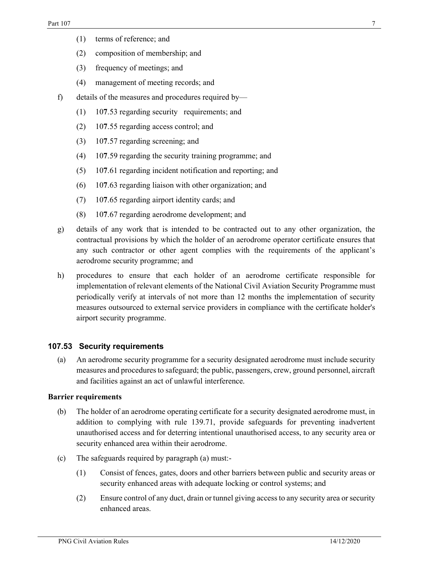- (1) terms of reference; and
- (2) composition of membership; and
- (3) frequency of meetings; and
- (4) management of meeting records; and
- f) details of the measures and procedures required by—
	- (1) 107.53 regarding security requirements; and
	- (2) 107.55 regarding access control; and
	- (3) 107.57 regarding screening; and
	- (4) 107.59 regarding the security training programme; and
	- (5) 107.61 regarding incident notification and reporting; and
	- (6) 107.63 regarding liaison with other organization; and
	- (7) 107.65 regarding airport identity cards; and
	- (8) 107.67 regarding aerodrome development; and
- g) details of any work that is intended to be contracted out to any other organization, the contractual provisions by which the holder of an aerodrome operator certificate ensures that any such contractor or other agent complies with the requirements of the applicant's aerodrome security programme; and
- h) procedures to ensure that each holder of an aerodrome certificate responsible for implementation of relevant elements of the National Civil Aviation Security Programme must periodically verify at intervals of not more than 12 months the implementation of security measures outsourced to external service providers in compliance with the certificate holder's airport security programme.

# 107.53 Security requirements

(a) An aerodrome security programme for a security designated aerodrome must include security measures and procedures to safeguard; the public, passengers, crew, ground personnel, aircraft and facilities against an act of unlawful interference.

#### Barrier requirements

- (b) The holder of an aerodrome operating certificate for a security designated aerodrome must, in addition to complying with rule 139.71, provide safeguards for preventing inadvertent unauthorised access and for deterring intentional unauthorised access, to any security area or security enhanced area within their aerodrome.
- (c) The safeguards required by paragraph (a) must:-
	- (1) Consist of fences, gates, doors and other barriers between public and security areas or security enhanced areas with adequate locking or control systems; and
	- (2) Ensure control of any duct, drain or tunnel giving access to any security area or security enhanced areas.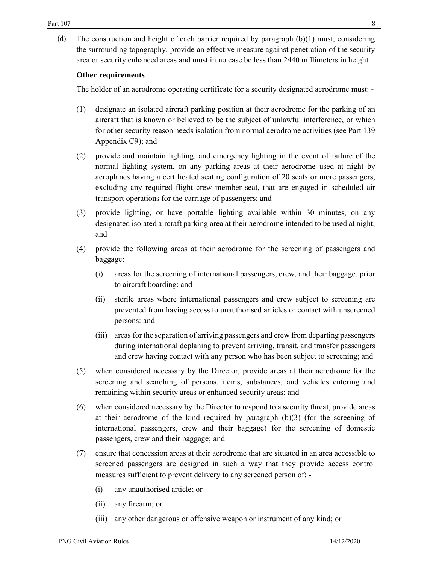(d) The construction and height of each barrier required by paragraph (b)(1) must, considering the surrounding topography, provide an effective measure against penetration of the security area or security enhanced areas and must in no case be less than 2440 millimeters in height.

#### Other requirements

The holder of an aerodrome operating certificate for a security designated aerodrome must: -

- (1) designate an isolated aircraft parking position at their aerodrome for the parking of an aircraft that is known or believed to be the subject of unlawful interference, or which for other security reason needs isolation from normal aerodrome activities (see Part 139 Appendix C9); and
- (2) provide and maintain lighting, and emergency lighting in the event of failure of the normal lighting system, on any parking areas at their aerodrome used at night by aeroplanes having a certificated seating configuration of 20 seats or more passengers, excluding any required flight crew member seat, that are engaged in scheduled air transport operations for the carriage of passengers; and
- (3) provide lighting, or have portable lighting available within 30 minutes, on any designated isolated aircraft parking area at their aerodrome intended to be used at night; and
- (4) provide the following areas at their aerodrome for the screening of passengers and baggage:
	- (i) areas for the screening of international passengers, crew, and their baggage, prior to aircraft boarding: and
	- (ii) sterile areas where international passengers and crew subject to screening are prevented from having access to unauthorised articles or contact with unscreened persons: and
	- (iii) areas for the separation of arriving passengers and crew from departing passengers during international deplaning to prevent arriving, transit, and transfer passengers and crew having contact with any person who has been subject to screening; and
- (5) when considered necessary by the Director, provide areas at their aerodrome for the screening and searching of persons, items, substances, and vehicles entering and remaining within security areas or enhanced security areas; and
- (6) when considered necessary by the Director to respond to a security threat, provide areas at their aerodrome of the kind required by paragraph (b)(3) (for the screening of international passengers, crew and their baggage) for the screening of domestic passengers, crew and their baggage; and
- (7) ensure that concession areas at their aerodrome that are situated in an area accessible to screened passengers are designed in such a way that they provide access control measures sufficient to prevent delivery to any screened person of: -
	- (i) any unauthorised article; or
	- (ii) any firearm; or
	- (iii) any other dangerous or offensive weapon or instrument of any kind; or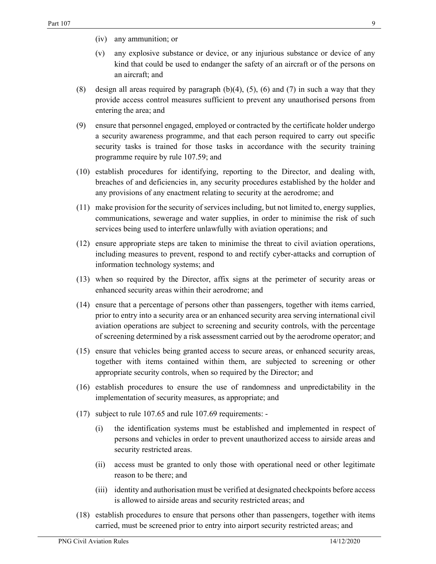- (iv) any ammunition; or
- (v) any explosive substance or device, or any injurious substance or device of any kind that could be used to endanger the safety of an aircraft or of the persons on an aircraft; and
- (8) design all areas required by paragraph  $(b)(4)$ ,  $(5)$ ,  $(6)$  and  $(7)$  in such a way that they provide access control measures sufficient to prevent any unauthorised persons from entering the area; and
- (9) ensure that personnel engaged, employed or contracted by the certificate holder undergo a security awareness programme, and that each person required to carry out specific security tasks is trained for those tasks in accordance with the security training programme require by rule 107.59; and
- (10) establish procedures for identifying, reporting to the Director, and dealing with, breaches of and deficiencies in, any security procedures established by the holder and any provisions of any enactment relating to security at the aerodrome; and
- (11) make provision for the security of services including, but not limited to, energy supplies, communications, sewerage and water supplies, in order to minimise the risk of such services being used to interfere unlawfully with aviation operations; and
- (12) ensure appropriate steps are taken to minimise the threat to civil aviation operations, including measures to prevent, respond to and rectify cyber-attacks and corruption of information technology systems; and
- (13) when so required by the Director, affix signs at the perimeter of security areas or enhanced security areas within their aerodrome; and
- (14) ensure that a percentage of persons other than passengers, together with items carried, prior to entry into a security area or an enhanced security area serving international civil aviation operations are subject to screening and security controls, with the percentage of screening determined by a risk assessment carried out by the aerodrome operator; and
- (15) ensure that vehicles being granted access to secure areas, or enhanced security areas, together with items contained within them, are subjected to screening or other appropriate security controls, when so required by the Director; and
- (16) establish procedures to ensure the use of randomness and unpredictability in the implementation of security measures, as appropriate; and
- (17) subject to rule 107.65 and rule 107.69 requirements:
	- (i) the identification systems must be established and implemented in respect of persons and vehicles in order to prevent unauthorized access to airside areas and security restricted areas.
	- (ii) access must be granted to only those with operational need or other legitimate reason to be there; and
	- (iii) identity and authorisation must be verified at designated checkpoints before access is allowed to airside areas and security restricted areas; and
- (18) establish procedures to ensure that persons other than passengers, together with items carried, must be screened prior to entry into airport security restricted areas; and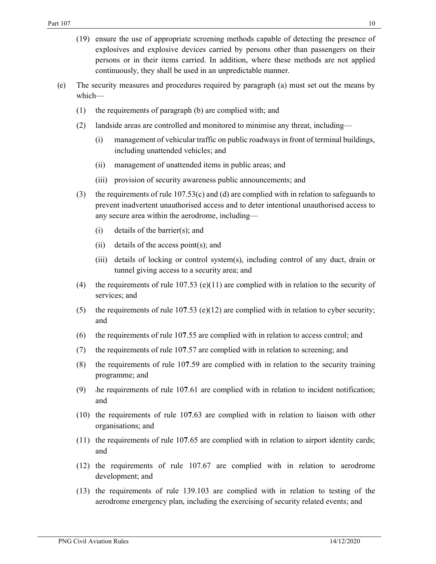- (19) ensure the use of appropriate screening methods capable of detecting the presence of explosives and explosive devices carried by persons other than passengers on their persons or in their items carried. In addition, where these methods are not applied continuously, they shall be used in an unpredictable manner.
- (e) The security measures and procedures required by paragraph (a) must set out the means by which—
	- (1) the requirements of paragraph (b) are complied with; and
	- (2) landside areas are controlled and monitored to minimise any threat, including—
		- (i) management of vehicular traffic on public roadways in front of terminal buildings, including unattended vehicles; and
		- (ii) management of unattended items in public areas; and
		- (iii) provision of security awareness public announcements; and
	- (3) the requirements of rule 107.53(c) and (d) are complied with in relation to safeguards to prevent inadvertent unauthorised access and to deter intentional unauthorised access to any secure area within the aerodrome, including—
		- (i) details of the barrier(s); and
		- (ii) details of the access point(s); and
		- (iii) details of locking or control system(s), including control of any duct, drain or tunnel giving access to a security area; and
	- (4) the requirements of rule  $107.53$  (e)(11) are complied with in relation to the security of services; and
	- (5) the requirements of rule 107.53 (e)(12) are complied with in relation to cyber security; and
	- (6) the requirements of rule 107.55 are complied with in relation to access control; and
	- (7) the requirements of rule 107.57 are complied with in relation to screening; and
	- (8) the requirements of rule 107.59 are complied with in relation to the security training programme; and
	- $(9)$  the requirements of rule 107.61 are complied with in relation to incident notification; and
	- (10) the requirements of rule 107.63 are complied with in relation to liaison with other organisations; and
	- (11) the requirements of rule 107.65 are complied with in relation to airport identity cards; and
	- (12) the requirements of rule 107.67 are complied with in relation to aerodrome development; and
	- (13) the requirements of rule 139.103 are complied with in relation to testing of the aerodrome emergency plan, including the exercising of security related events; and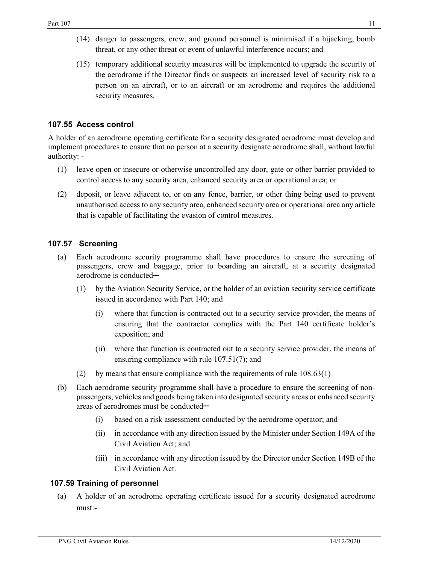- (14) danger to passengers, crew, and ground personnel is minimised if a hijacking, bomb threat, or any other threat or event of unlawful interference occurs; and
- (15) temporary additional security measures will be implemented to upgrade the security of the aerodrome if the Director finds or suspects an increased level of security risk to a person on an aircraft, or to an aircraft or an aerodrome and requires the additional security measures.

# 107.55 Access control

A holder of an aerodrome operating certificate for a security designated aerodrome must develop and implement procedures to ensure that no person at a security designate aerodrome shall, without lawful authority: -

- (1) leave open or insecure or otherwise uncontrolled any door, gate or other barrier provided to control access to any security area, enhanced security area or operational area; or
- (2) deposit, or leave adjacent to, or on any fence, barrier, or other thing being used to prevent unauthorised access to any security area, enhanced security area or operational area any article that is capable of facilitating the evasion of control measures.

## 107.57 Screening

- (a) Each aerodrome security programme shall have procedures to ensure the screening of passengers, crew and baggage, prior to boarding an aircraft, at a security designated aerodrome is conducted-
	- (1) by the Aviation Security Service, or the holder of an aviation security service certificate issued in accordance with Part 140; and
		- (i) where that function is contracted out to a security service provider, the means of ensuring that the contractor complies with the Part 140 certificate holder's exposition; and
		- (ii) where that function is contracted out to a security service provider, the means of ensuring compliance with rule 107.51(7); and
	- (2) by means that ensure compliance with the requirements of rule 108.63(1)
- (b) Each aerodrome security programme shall have a procedure to ensure the screening of nonpassengers, vehicles and goods being taken into designated security areas or enhanced security areas of aerodromes must be conducted-
	- (i) based on a risk assessment conducted by the aerodrome operator; and
	- (ii) in accordance with any direction issued by the Minister under Section 149A of the Civil Aviation Act; and
	- (iii) in accordance with any direction issued by the Director under Section 149B of the Civil Aviation Act.

#### 107.59 Training of personnel

(a) A holder of an aerodrome operating certificate issued for a security designated aerodrome must:-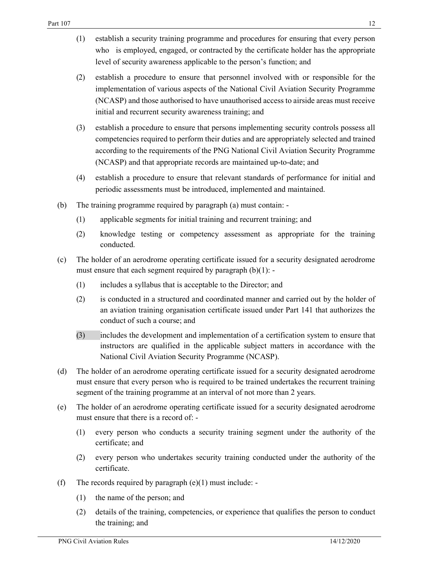- (1) establish a security training programme and procedures for ensuring that every person who is employed, engaged, or contracted by the certificate holder has the appropriate level of security awareness applicable to the person's function; and
- (2) establish a procedure to ensure that personnel involved with or responsible for the implementation of various aspects of the National Civil Aviation Security Programme (NCASP) and those authorised to have unauthorised access to airside areas must receive initial and recurrent security awareness training; and
- (3) establish a procedure to ensure that persons implementing security controls possess all competencies required to perform their duties and are appropriately selected and trained according to the requirements of the PNG National Civil Aviation Security Programme (NCASP) and that appropriate records are maintained up-to-date; and
- (4) establish a procedure to ensure that relevant standards of performance for initial and periodic assessments must be introduced, implemented and maintained.
- (b) The training programme required by paragraph (a) must contain:
	- (1) applicable segments for initial training and recurrent training; and
	- (2) knowledge testing or competency assessment as appropriate for the training conducted.
- (c) The holder of an aerodrome operating certificate issued for a security designated aerodrome must ensure that each segment required by paragraph (b)(1): -
	- (1) includes a syllabus that is acceptable to the Director; and
	- (2) is conducted in a structured and coordinated manner and carried out by the holder of an aviation training organisation certificate issued under Part 141 that authorizes the conduct of such a course; and
	- (3) includes the development and implementation of a certification system to ensure that instructors are qualified in the applicable subject matters in accordance with the National Civil Aviation Security Programme (NCASP).
- (d) The holder of an aerodrome operating certificate issued for a security designated aerodrome must ensure that every person who is required to be trained undertakes the recurrent training segment of the training programme at an interval of not more than 2 years.
- (e) The holder of an aerodrome operating certificate issued for a security designated aerodrome must ensure that there is a record of: -
	- (1) every person who conducts a security training segment under the authority of the certificate; and
	- (2) every person who undertakes security training conducted under the authority of the certificate.
- (f) The records required by paragraph  $(e)(1)$  must include: -
	- (1) the name of the person; and
	- (2) details of the training, competencies, or experience that qualifies the person to conduct the training; and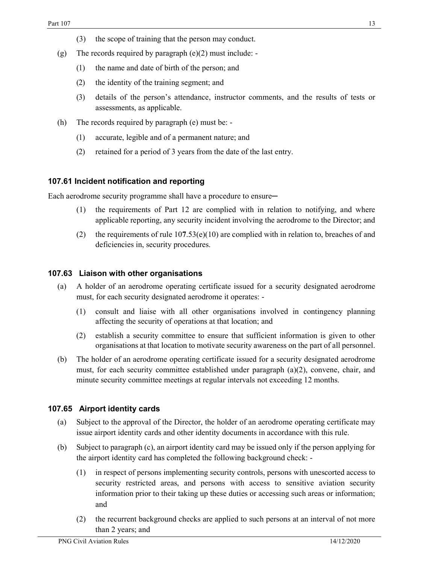- (3) the scope of training that the person may conduct.
- (g) The records required by paragraph (e)(2) must include:
	- (1) the name and date of birth of the person; and
	- (2) the identity of the training segment; and
	- (3) details of the person's attendance, instructor comments, and the results of tests or assessments, as applicable.
- (h) The records required by paragraph (e) must be:
	- (1) accurate, legible and of a permanent nature; and
	- (2) retained for a period of 3 years from the date of the last entry.

# 107.61 Incident notification and reporting

Each aerodrome security programme shall have a procedure to ensure—

- (1) the requirements of Part 12 are complied with in relation to notifying, and where applicable reporting, any security incident involving the aerodrome to the Director; and
- (2) the requirements of rule  $107.53(e)(10)$  are complied with in relation to, breaches of and deficiencies in, security procedures.

#### 107.63 Liaison with other organisations

- (a) A holder of an aerodrome operating certificate issued for a security designated aerodrome must, for each security designated aerodrome it operates: -
	- (1) consult and liaise with all other organisations involved in contingency planning affecting the security of operations at that location; and
	- (2) establish a security committee to ensure that sufficient information is given to other organisations at that location to motivate security awareness on the part of all personnel.
- (b) The holder of an aerodrome operating certificate issued for a security designated aerodrome must, for each security committee established under paragraph (a)(2), convene, chair, and minute security committee meetings at regular intervals not exceeding 12 months.

# 107.65 Airport identity cards

- (a) Subject to the approval of the Director, the holder of an aerodrome operating certificate may issue airport identity cards and other identity documents in accordance with this rule.
- (b) Subject to paragraph (c), an airport identity card may be issued only if the person applying for the airport identity card has completed the following background check: -
	- (1) in respect of persons implementing security controls, persons with unescorted access to security restricted areas, and persons with access to sensitive aviation security information prior to their taking up these duties or accessing such areas or information; and
	- (2) the recurrent background checks are applied to such persons at an interval of not more than 2 years; and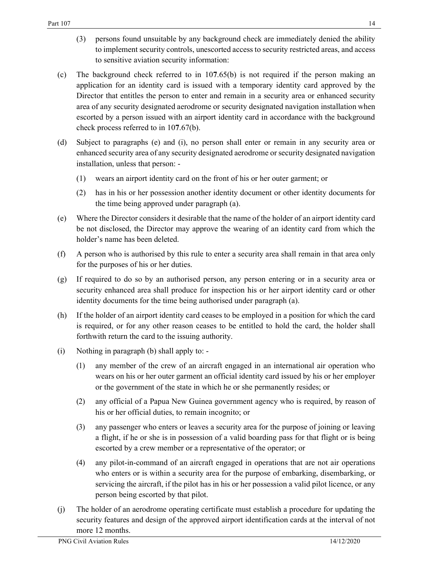- (3) persons found unsuitable by any background check are immediately denied the ability to implement security controls, unescorted access to security restricted areas, and access to sensitive aviation security information:
- (c) The background check referred to in 107.65(b) is not required if the person making an application for an identity card is issued with a temporary identity card approved by the Director that entitles the person to enter and remain in a security area or enhanced security area of any security designated aerodrome or security designated navigation installation when escorted by a person issued with an airport identity card in accordance with the background check process referred to in 107.67(b).
- (d) Subject to paragraphs (e) and (i), no person shall enter or remain in any security area or enhanced security area of any security designated aerodrome or security designated navigation installation, unless that person: -
	- (1) wears an airport identity card on the front of his or her outer garment; or
	- (2) has in his or her possession another identity document or other identity documents for the time being approved under paragraph (a).
- (e) Where the Director considers it desirable that the name of the holder of an airport identity card be not disclosed, the Director may approve the wearing of an identity card from which the holder's name has been deleted.
- (f) A person who is authorised by this rule to enter a security area shall remain in that area only for the purposes of his or her duties.
- (g) If required to do so by an authorised person, any person entering or in a security area or security enhanced area shall produce for inspection his or her airport identity card or other identity documents for the time being authorised under paragraph (a).
- (h) If the holder of an airport identity card ceases to be employed in a position for which the card is required, or for any other reason ceases to be entitled to hold the card, the holder shall forthwith return the card to the issuing authority.
- (i) Nothing in paragraph (b) shall apply to:
	- (1) any member of the crew of an aircraft engaged in an international air operation who wears on his or her outer garment an official identity card issued by his or her employer or the government of the state in which he or she permanently resides; or
	- (2) any official of a Papua New Guinea government agency who is required, by reason of his or her official duties, to remain incognito; or
	- (3) any passenger who enters or leaves a security area for the purpose of joining or leaving a flight, if he or she is in possession of a valid boarding pass for that flight or is being escorted by a crew member or a representative of the operator; or
	- (4) any pilot-in-command of an aircraft engaged in operations that are not air operations who enters or is within a security area for the purpose of embarking, disembarking, or servicing the aircraft, if the pilot has in his or her possession a valid pilot licence, or any person being escorted by that pilot.
- (j) The holder of an aerodrome operating certificate must establish a procedure for updating the security features and design of the approved airport identification cards at the interval of not more 12 months.